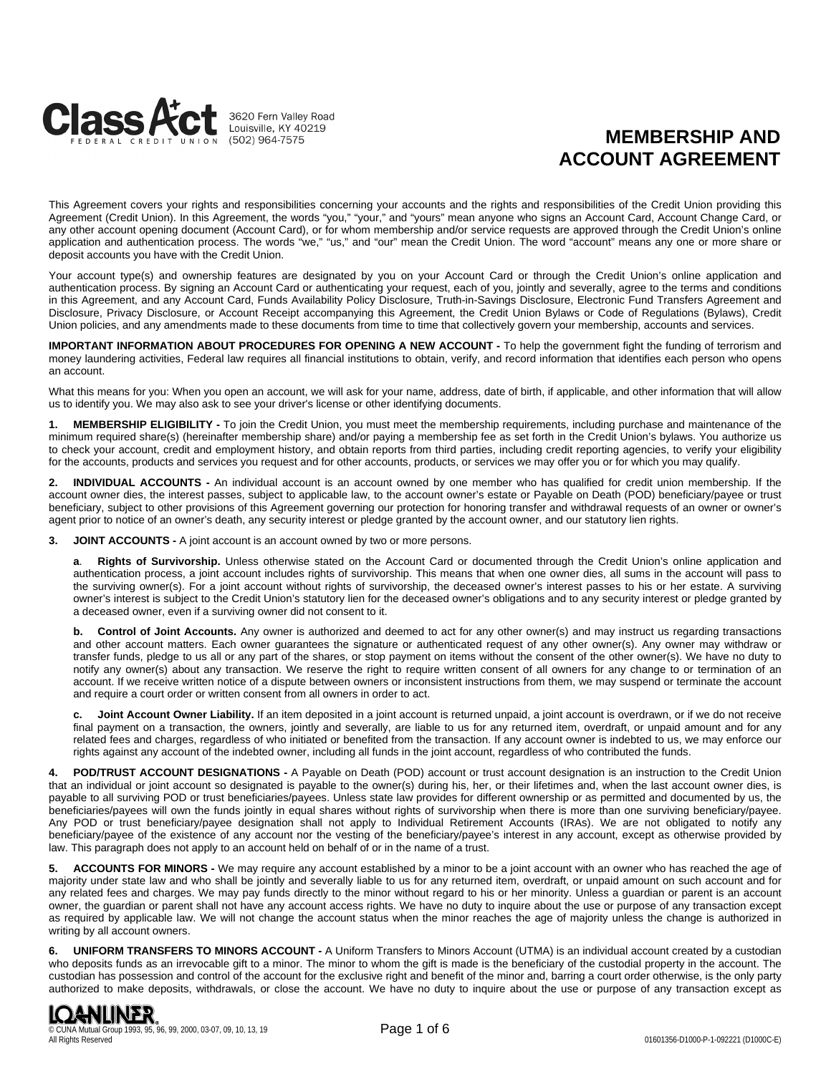

(502) 964-7575

# **MEMBERSHIP AND ACCOUNT AGREEMENT**

This Agreement covers your rights and responsibilities concerning your accounts and the rights and responsibilities of the Credit Union providing this Agreement (Credit Union). In this Agreement, the words "you," "your," and "yours" mean anyone who signs an Account Card, Account Change Card, or any other account opening document (Account Card), or for whom membership and/or service requests are approved through the Credit Union's online application and authentication process. The words "we," "us," and "our" mean the Credit Union. The word "account" means any one or more share or deposit accounts you have with the Credit Union.

Your account type(s) and ownership features are designated by you on your Account Card or through the Credit Union's online application and authentication process. By signing an Account Card or authenticating your request, each of you, jointly and severally, agree to the terms and conditions in this Agreement, and any Account Card, Funds Availability Policy Disclosure, Truth-in-Savings Disclosure, Electronic Fund Transfers Agreement and Disclosure, Privacy Disclosure, or Account Receipt accompanying this Agreement, the Credit Union Bylaws or Code of Regulations (Bylaws), Credit Union policies, and any amendments made to these documents from time to time that collectively govern your membership, accounts and services.

**IMPORTANT INFORMATION ABOUT PROCEDURES FOR OPENING A NEW ACCOUNT -** To help the government fight the funding of terrorism and money laundering activities, Federal law requires all financial institutions to obtain, verify, and record information that identifies each person who opens an account.

What this means for you: When you open an account, we will ask for your name, address, date of birth, if applicable, and other information that will allow us to identify you. We may also ask to see your driver's license or other identifying documents.

**1. MEMBERSHIP ELIGIBILITY -** To join the Credit Union, you must meet the membership requirements, including purchase and maintenance of the minimum required share(s) (hereinafter membership share) and/or paying a membership fee as set forth in the Credit Union's bylaws. You authorize us to check your account, credit and employment history, and obtain reports from third parties, including credit reporting agencies, to verify your eligibility for the accounts, products and services you request and for other accounts, products, or services we may offer you or for which you may qualify.

**2. INDIVIDUAL ACCOUNTS -** An individual account is an account owned by one member who has qualified for credit union membership. If the account owner dies, the interest passes, subject to applicable law, to the account owner's estate or Payable on Death (POD) beneficiary/payee or trust beneficiary, subject to other provisions of this Agreement governing our protection for honoring transfer and withdrawal requests of an owner or owner's agent prior to notice of an owner's death, any security interest or pledge granted by the account owner, and our statutory lien rights.

**3. JOINT ACCOUNTS -** A joint account is an account owned by two or more persons.

**a**. **Rights of Survivorship.** Unless otherwise stated on the Account Card or documented through the Credit Union's online application and authentication process, a joint account includes rights of survivorship. This means that when one owner dies, all sums in the account will pass to the surviving owner(s). For a joint account without rights of survivorship, the deceased owner's interest passes to his or her estate. A surviving owner's interest is subject to the Credit Union's statutory lien for the deceased owner's obligations and to any security interest or pledge granted by a deceased owner, even if a surviving owner did not consent to it.

**b. Control of Joint Accounts.** Any owner is authorized and deemed to act for any other owner(s) and may instruct us regarding transactions and other account matters. Each owner guarantees the signature or authenticated request of any other owner(s). Any owner may withdraw or transfer funds, pledge to us all or any part of the shares, or stop payment on items without the consent of the other owner(s). We have no duty to notify any owner(s) about any transaction. We reserve the right to require written consent of all owners for any change to or termination of an account. If we receive written notice of a dispute between owners or inconsistent instructions from them, we may suspend or terminate the account and require a court order or written consent from all owners in order to act.

**c. Joint Account Owner Liability.** If an item deposited in a joint account is returned unpaid, a joint account is overdrawn, or if we do not receive final payment on a transaction, the owners, jointly and severally, are liable to us for any returned item, overdraft, or unpaid amount and for any related fees and charges, regardless of who initiated or benefited from the transaction. If any account owner is indebted to us, we may enforce our rights against any account of the indebted owner, including all funds in the joint account, regardless of who contributed the funds.

**4. POD/TRUST ACCOUNT DESIGNATIONS -** A Payable on Death (POD) account or trust account designation is an instruction to the Credit Union that an individual or joint account so designated is payable to the owner(s) during his, her, or their lifetimes and, when the last account owner dies, is payable to all surviving POD or trust beneficiaries/payees. Unless state law provides for different ownership or as permitted and documented by us, the beneficiaries/payees will own the funds jointly in equal shares without rights of survivorship when there is more than one surviving beneficiary/payee. Any POD or trust beneficiary/payee designation shall not apply to Individual Retirement Accounts (IRAs). We are not obligated to notify any beneficiary/payee of the existence of any account nor the vesting of the beneficiary/payee's interest in any account, except as otherwise provided by law. This paragraph does not apply to an account held on behalf of or in the name of a trust.

**5. ACCOUNTS FOR MINORS -** We may require any account established by a minor to be a joint account with an owner who has reached the age of majority under state law and who shall be jointly and severally liable to us for any returned item, overdraft, or unpaid amount on such account and for any related fees and charges. We may pay funds directly to the minor without regard to his or her minority. Unless a guardian or parent is an account owner, the guardian or parent shall not have any account access rights. We have no duty to inquire about the use or purpose of any transaction except as required by applicable law. We will not change the account status when the minor reaches the age of majority unless the change is authorized in writing by all account owners.

**6. UNIFORM TRANSFERS TO MINORS ACCOUNT -** A Uniform Transfers to Minors Account (UTMA) is an individual account created by a custodian who deposits funds as an irrevocable gift to a minor. The minor to whom the gift is made is the beneficiary of the custodial property in the account. The custodian has possession and control of the account for the exclusive right and benefit of the minor and, barring a court order otherwise, is the only party authorized to make deposits, withdrawals, or close the account. We have no duty to inquire about the use or purpose of any transaction except as

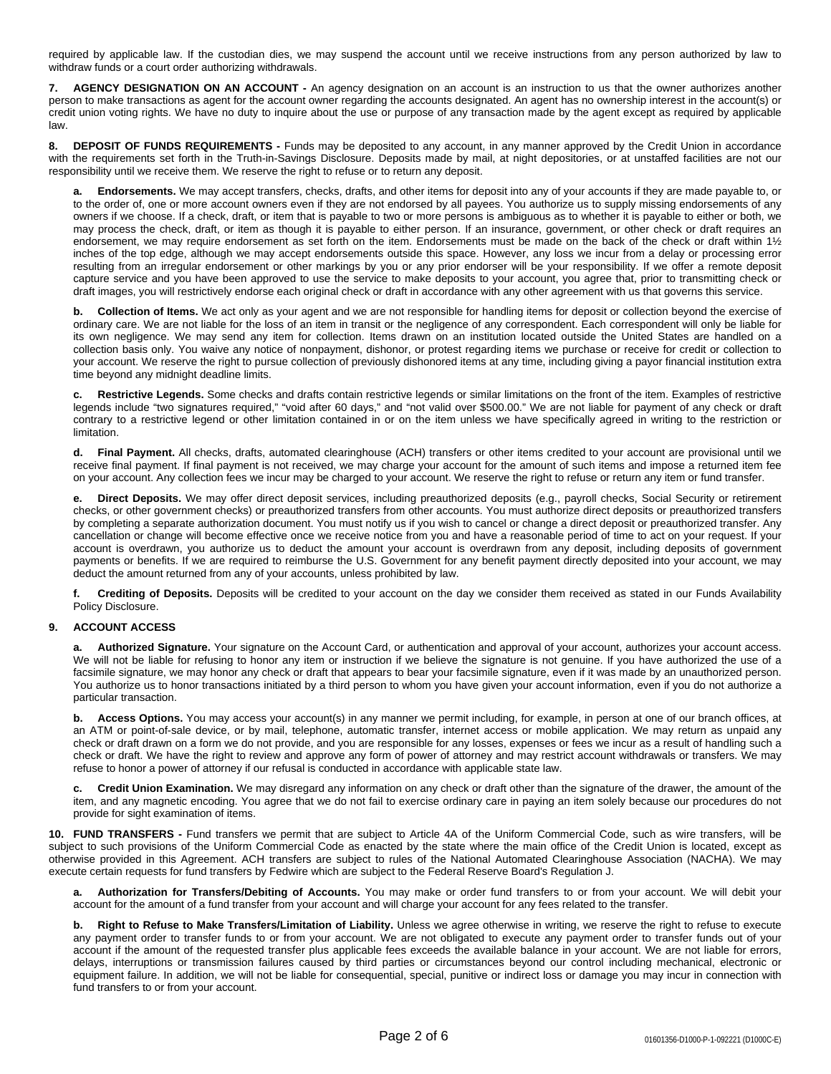required by applicable law. If the custodian dies, we may suspend the account until we receive instructions from any person authorized by law to withdraw funds or a court order authorizing withdrawals.

**7. AGENCY DESIGNATION ON AN ACCOUNT -** An agency designation on an account is an instruction to us that the owner authorizes another person to make transactions as agent for the account owner regarding the accounts designated. An agent has no ownership interest in the account(s) or credit union voting rights. We have no duty to inquire about the use or purpose of any transaction made by the agent except as required by applicable law.

**8. DEPOSIT OF FUNDS REQUIREMENTS -** Funds may be deposited to any account, in any manner approved by the Credit Union in accordance with the requirements set forth in the Truth-in-Savings Disclosure. Deposits made by mail, at night depositories, or at unstaffed facilities are not our responsibility until we receive them. We reserve the right to refuse or to return any deposit.

**a. Endorsements.** We may accept transfers, checks, drafts, and other items for deposit into any of your accounts if they are made payable to, or to the order of, one or more account owners even if they are not endorsed by all payees. You authorize us to supply missing endorsements of any owners if we choose. If a check, draft, or item that is payable to two or more persons is ambiguous as to whether it is payable to either or both, we may process the check, draft, or item as though it is payable to either person. If an insurance, government, or other check or draft requires an endorsement, we may require endorsement as set forth on the item. Endorsements must be made on the back of the check or draft within 1½ inches of the top edge, although we may accept endorsements outside this space. However, any loss we incur from a delay or processing error resulting from an irregular endorsement or other markings by you or any prior endorser will be your responsibility. If we offer a remote deposit capture service and you have been approved to use the service to make deposits to your account, you agree that, prior to transmitting check or draft images, you will restrictively endorse each original check or draft in accordance with any other agreement with us that governs this service.

**b. Collection of Items.** We act only as your agent and we are not responsible for handling items for deposit or collection beyond the exercise of ordinary care. We are not liable for the loss of an item in transit or the negligence of any correspondent. Each correspondent will only be liable for its own negligence. We may send any item for collection. Items drawn on an institution located outside the United States are handled on a collection basis only. You waive any notice of nonpayment, dishonor, or protest regarding items we purchase or receive for credit or collection to your account. We reserve the right to pursue collection of previously dishonored items at any time, including giving a payor financial institution extra time beyond any midnight deadline limits.

**c. Restrictive Legends.** Some checks and drafts contain restrictive legends or similar limitations on the front of the item. Examples of restrictive legends include "two signatures required," "void after 60 days," and "not valid over \$500.00." We are not liable for payment of any check or draft contrary to a restrictive legend or other limitation contained in or on the item unless we have specifically agreed in writing to the restriction or limitation.

**d. Final Payment.** All checks, drafts, automated clearinghouse (ACH) transfers or other items credited to your account are provisional until we receive final payment. If final payment is not received, we may charge your account for the amount of such items and impose a returned item fee on your account. Any collection fees we incur may be charged to your account. We reserve the right to refuse or return any item or fund transfer.

**e. Direct Deposits.** We may offer direct deposit services, including preauthorized deposits (e.g., payroll checks, Social Security or retirement checks, or other government checks) or preauthorized transfers from other accounts. You must authorize direct deposits or preauthorized transfers by completing a separate authorization document. You must notify us if you wish to cancel or change a direct deposit or preauthorized transfer. Any cancellation or change will become effective once we receive notice from you and have a reasonable period of time to act on your request. If your account is overdrawn, you authorize us to deduct the amount your account is overdrawn from any deposit, including deposits of government payments or benefits. If we are required to reimburse the U.S. Government for any benefit payment directly deposited into your account, we may deduct the amount returned from any of your accounts, unless prohibited by law.

**f. Crediting of Deposits.** Deposits will be credited to your account on the day we consider them received as stated in our Funds Availability Policy Disclosure.

## **9. ACCOUNT ACCESS**

**a. Authorized Signature.** Your signature on the Account Card, or authentication and approval of your account, authorizes your account access. We will not be liable for refusing to honor any item or instruction if we believe the signature is not genuine. If you have authorized the use of a facsimile signature, we may honor any check or draft that appears to bear your facsimile signature, even if it was made by an unauthorized person. You authorize us to honor transactions initiated by a third person to whom you have given your account information, even if you do not authorize a particular transaction.

**b. Access Options.** You may access your account(s) in any manner we permit including, for example, in person at one of our branch offices, at an ATM or point-of-sale device, or by mail, telephone, automatic transfer, internet access or mobile application. We may return as unpaid any check or draft drawn on a form we do not provide, and you are responsible for any losses, expenses or fees we incur as a result of handling such a check or draft. We have the right to review and approve any form of power of attorney and may restrict account withdrawals or transfers. We may refuse to honor a power of attorney if our refusal is conducted in accordance with applicable state law.

**c. Credit Union Examination.** We may disregard any information on any check or draft other than the signature of the drawer, the amount of the item, and any magnetic encoding. You agree that we do not fail to exercise ordinary care in paying an item solely because our procedures do not provide for sight examination of items.

**10. FUND TRANSFERS -** Fund transfers we permit that are subject to Article 4A of the Uniform Commercial Code, such as wire transfers, will be subject to such provisions of the Uniform Commercial Code as enacted by the state where the main office of the Credit Union is located, except as otherwise provided in this Agreement. ACH transfers are subject to rules of the National Automated Clearinghouse Association (NACHA). We may execute certain requests for fund transfers by Fedwire which are subject to the Federal Reserve Board's Regulation J.

**a. Authorization for Transfers/Debiting of Accounts.** You may make or order fund transfers to or from your account. We will debit your account for the amount of a fund transfer from your account and will charge your account for any fees related to the transfer.

**b. Right to Refuse to Make Transfers/Limitation of Liability.** Unless we agree otherwise in writing, we reserve the right to refuse to execute any payment order to transfer funds to or from your account. We are not obligated to execute any payment order to transfer funds out of your account if the amount of the requested transfer plus applicable fees exceeds the available balance in your account. We are not liable for errors, delays, interruptions or transmission failures caused by third parties or circumstances beyond our control including mechanical, electronic or equipment failure. In addition, we will not be liable for consequential, special, punitive or indirect loss or damage you may incur in connection with fund transfers to or from your account.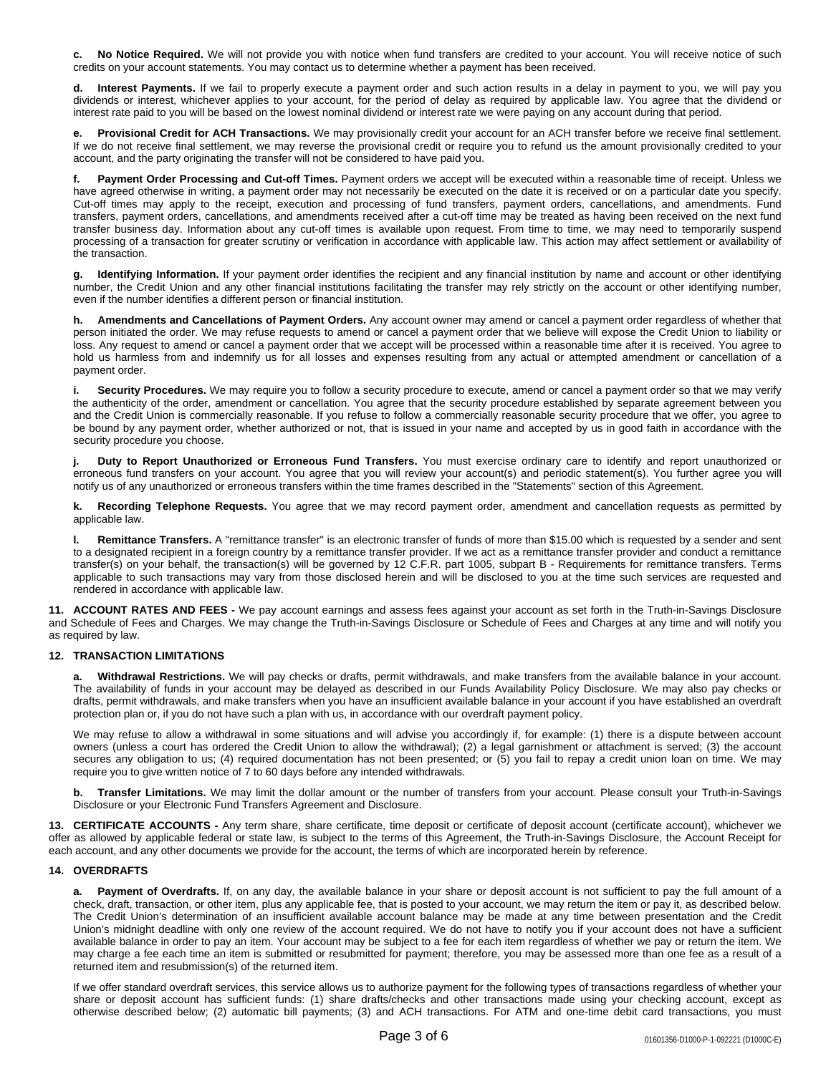**c. No Notice Required.** We will not provide you with notice when fund transfers are credited to your account. You will receive notice of such credits on your account statements. You may contact us to determine whether a payment has been received.

**d. Interest Payments.** If we fail to properly execute a payment order and such action results in a delay in payment to you, we will pay you dividends or interest, whichever applies to your account, for the period of delay as required by applicable law. You agree that the dividend or interest rate paid to you will be based on the lowest nominal dividend or interest rate we were paying on any account during that period.

**e. Provisional Credit for ACH Transactions.** We may provisionally credit your account for an ACH transfer before we receive final settlement. If we do not receive final settlement, we may reverse the provisional credit or require you to refund us the amount provisionally credited to your account, and the party originating the transfer will not be considered to have paid you.

**f. Payment Order Processing and Cut-off Times.** Payment orders we accept will be executed within a reasonable time of receipt. Unless we have agreed otherwise in writing, a payment order may not necessarily be executed on the date it is received or on a particular date you specify. Cut-off times may apply to the receipt, execution and processing of fund transfers, payment orders, cancellations, and amendments. Fund transfers, payment orders, cancellations, and amendments received after a cut-off time may be treated as having been received on the next fund transfer business day. Information about any cut-off times is available upon request. From time to time, we may need to temporarily suspend processing of a transaction for greater scrutiny or verification in accordance with applicable law. This action may affect settlement or availability of the transaction.

**g. Identifying Information.** If your payment order identifies the recipient and any financial institution by name and account or other identifying number, the Credit Union and any other financial institutions facilitating the transfer may rely strictly on the account or other identifying number, even if the number identifies a different person or financial institution.

**h. Amendments and Cancellations of Payment Orders.** Any account owner may amend or cancel a payment order regardless of whether that person initiated the order. We may refuse requests to amend or cancel a payment order that we believe will expose the Credit Union to liability or loss. Any request to amend or cancel a payment order that we accept will be processed within a reasonable time after it is received. You agree to hold us harmless from and indemnify us for all losses and expenses resulting from any actual or attempted amendment or cancellation of a payment order.

**i. Security Procedures.** We may require you to follow a security procedure to execute, amend or cancel a payment order so that we may verify the authenticity of the order, amendment or cancellation. You agree that the security procedure established by separate agreement between you and the Credit Union is commercially reasonable. If you refuse to follow a commercially reasonable security procedure that we offer, you agree to be bound by any payment order, whether authorized or not, that is issued in your name and accepted by us in good faith in accordance with the security procedure you choose.

**j. Duty to Report Unauthorized or Erroneous Fund Transfers.** You must exercise ordinary care to identify and report unauthorized or erroneous fund transfers on your account. You agree that you will review your account(s) and periodic statement(s). You further agree you will notify us of any unauthorized or erroneous transfers within the time frames described in the "Statements" section of this Agreement.

**k. Recording Telephone Requests.** You agree that we may record payment order, amendment and cancellation requests as permitted by applicable law.

**l. Remittance Transfers.** A "remittance transfer" is an electronic transfer of funds of more than \$15.00 which is requested by a sender and sent to a designated recipient in a foreign country by a remittance transfer provider. If we act as a remittance transfer provider and conduct a remittance transfer(s) on your behalf, the transaction(s) will be governed by 12 C.F.R. part 1005, subpart B - Requirements for remittance transfers. Terms applicable to such transactions may vary from those disclosed herein and will be disclosed to you at the time such services are requested and rendered in accordance with applicable law.

**11. ACCOUNT RATES AND FEES -** We pay account earnings and assess fees against your account as set forth in the Truth-in-Savings Disclosure and Schedule of Fees and Charges. We may change the Truth-in-Savings Disclosure or Schedule of Fees and Charges at any time and will notify you as required by law.

# **12. TRANSACTION LIMITATIONS**

**a. Withdrawal Restrictions.** We will pay checks or drafts, permit withdrawals, and make transfers from the available balance in your account. The availability of funds in your account may be delayed as described in our Funds Availability Policy Disclosure. We may also pay checks or drafts, permit withdrawals, and make transfers when you have an insufficient available balance in your account if you have established an overdraft protection plan or, if you do not have such a plan with us, in accordance with our overdraft payment policy.

We may refuse to allow a withdrawal in some situations and will advise you accordingly if, for example: (1) there is a dispute between account owners (unless a court has ordered the Credit Union to allow the withdrawal); (2) a legal garnishment or attachment is served; (3) the account secures any obligation to us; (4) required documentation has not been presented; or (5) you fail to repay a credit union loan on time. We may require you to give written notice of 7 to 60 days before any intended withdrawals.

**b. Transfer Limitations.** We may limit the dollar amount or the number of transfers from your account. Please consult your Truth-in-Savings Disclosure or your Electronic Fund Transfers Agreement and Disclosure.

**13. CERTIFICATE ACCOUNTS -** Any term share, share certificate, time deposit or certificate of deposit account (certificate account), whichever we offer as allowed by applicable federal or state law, is subject to the terms of this Agreement, the Truth-in-Savings Disclosure, the Account Receipt for each account, and any other documents we provide for the account, the terms of which are incorporated herein by reference.

### **14. OVERDRAFTS**

**a. Payment of Overdrafts.** If, on any day, the available balance in your share or deposit account is not sufficient to pay the full amount of a check, draft, transaction, or other item, plus any applicable fee, that is posted to your account, we may return the item or pay it, as described below. The Credit Union's determination of an insufficient available account balance may be made at any time between presentation and the Credit Union's midnight deadline with only one review of the account required. We do not have to notify you if your account does not have a sufficient available balance in order to pay an item. Your account may be subject to a fee for each item regardless of whether we pay or return the item. We may charge a fee each time an item is submitted or resubmitted for payment; therefore, you may be assessed more than one fee as a result of a returned item and resubmission(s) of the returned item.

If we offer standard overdraft services, this service allows us to authorize payment for the following types of transactions regardless of whether your share or deposit account has sufficient funds: (1) share drafts/checks and other transactions made using your checking account, except as otherwise described below; (2) automatic bill payments; (3) and ACH transactions. For ATM and one-time debit card transactions, you must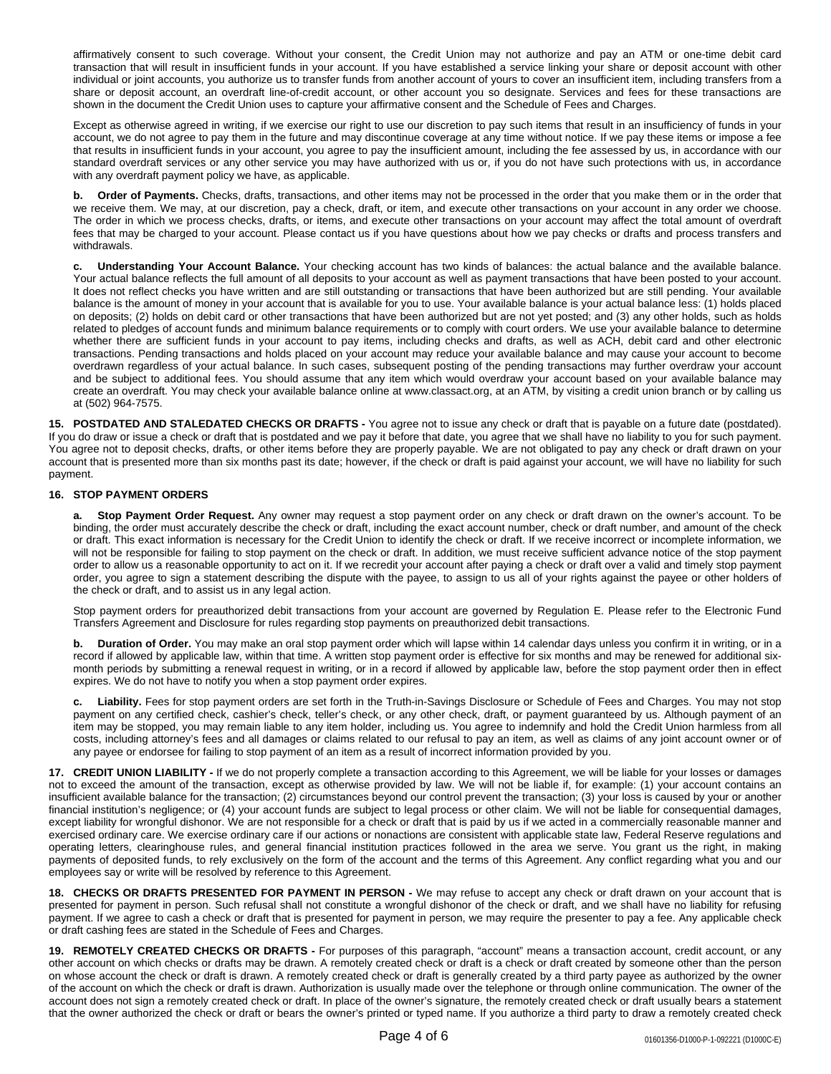affirmatively consent to such coverage. Without your consent, the Credit Union may not authorize and pay an ATM or one-time debit card transaction that will result in insufficient funds in your account. If you have established a service linking your share or deposit account with other individual or joint accounts, you authorize us to transfer funds from another account of yours to cover an insufficient item, including transfers from a share or deposit account, an overdraft line-of-credit account, or other account you so designate. Services and fees for these transactions are shown in the document the Credit Union uses to capture your affirmative consent and the Schedule of Fees and Charges.

Except as otherwise agreed in writing, if we exercise our right to use our discretion to pay such items that result in an insufficiency of funds in your account, we do not agree to pay them in the future and may discontinue coverage at any time without notice. If we pay these items or impose a fee that results in insufficient funds in your account, you agree to pay the insufficient amount, including the fee assessed by us, in accordance with our standard overdraft services or any other service you may have authorized with us or, if you do not have such protections with us, in accordance with any overdraft payment policy we have, as applicable.

**b. Order of Payments.** Checks, drafts, transactions, and other items may not be processed in the order that you make them or in the order that we receive them. We may, at our discretion, pay a check, draft, or item, and execute other transactions on your account in any order we choose. The order in which we process checks, drafts, or items, and execute other transactions on your account may affect the total amount of overdraft fees that may be charged to your account. Please contact us if you have questions about how we pay checks or drafts and process transfers and withdrawals.

**c. Understanding Your Account Balance.** Your checking account has two kinds of balances: the actual balance and the available balance. Your actual balance reflects the full amount of all deposits to your account as well as payment transactions that have been posted to your account. It does not reflect checks you have written and are still outstanding or transactions that have been authorized but are still pending. Your available balance is the amount of money in your account that is available for you to use. Your available balance is your actual balance less: (1) holds placed on deposits; (2) holds on debit card or other transactions that have been authorized but are not yet posted; and (3) any other holds, such as holds related to pledges of account funds and minimum balance requirements or to comply with court orders. We use your available balance to determine whether there are sufficient funds in your account to pay items, including checks and drafts, as well as ACH, debit card and other electronic transactions. Pending transactions and holds placed on your account may reduce your available balance and may cause your account to become overdrawn regardless of your actual balance. In such cases, subsequent posting of the pending transactions may further overdraw your account and be subject to additional fees. You should assume that any item which would overdraw your account based on your available balance may create an overdraft. You may check your available balance online at www.classact.org, at an ATM, by visiting a credit union branch or by calling us at (502) 964-7575.

**15. POSTDATED AND STALEDATED CHECKS OR DRAFTS -** You agree not to issue any check or draft that is payable on a future date (postdated). If you do draw or issue a check or draft that is postdated and we pay it before that date, you agree that we shall have no liability to you for such payment. You agree not to deposit checks, drafts, or other items before they are properly payable. We are not obligated to pay any check or draft drawn on your account that is presented more than six months past its date; however, if the check or draft is paid against your account, we will have no liability for such payment.

#### **16. STOP PAYMENT ORDERS**

**a. Stop Payment Order Request.** Any owner may request a stop payment order on any check or draft drawn on the owner's account. To be binding, the order must accurately describe the check or draft, including the exact account number, check or draft number, and amount of the check or draft. This exact information is necessary for the Credit Union to identify the check or draft. If we receive incorrect or incomplete information, we will not be responsible for failing to stop payment on the check or draft. In addition, we must receive sufficient advance notice of the stop payment order to allow us a reasonable opportunity to act on it. If we recredit your account after paying a check or draft over a valid and timely stop payment order, you agree to sign a statement describing the dispute with the payee, to assign to us all of your rights against the payee or other holders of the check or draft, and to assist us in any legal action.

Stop payment orders for preauthorized debit transactions from your account are governed by Regulation E. Please refer to the Electronic Fund Transfers Agreement and Disclosure for rules regarding stop payments on preauthorized debit transactions.

**b. Duration of Order.** You may make an oral stop payment order which will lapse within 14 calendar days unless you confirm it in writing, or in a record if allowed by applicable law, within that time. A written stop payment order is effective for six months and may be renewed for additional sixmonth periods by submitting a renewal request in writing, or in a record if allowed by applicable law, before the stop payment order then in effect expires. We do not have to notify you when a stop payment order expires.

**c. Liability.** Fees for stop payment orders are set forth in the Truth-in-Savings Disclosure or Schedule of Fees and Charges. You may not stop payment on any certified check, cashier's check, teller's check, or any other check, draft, or payment guaranteed by us. Although payment of an item may be stopped, you may remain liable to any item holder, including us. You agree to indemnify and hold the Credit Union harmless from all costs, including attorney's fees and all damages or claims related to our refusal to pay an item, as well as claims of any joint account owner or of any payee or endorsee for failing to stop payment of an item as a result of incorrect information provided by you.

**17. CREDIT UNION LIABILITY -** If we do not properly complete a transaction according to this Agreement, we will be liable for your losses or damages not to exceed the amount of the transaction, except as otherwise provided by law. We will not be liable if, for example: (1) your account contains an insufficient available balance for the transaction; (2) circumstances beyond our control prevent the transaction; (3) your loss is caused by your or another financial institution's negligence; or (4) your account funds are subject to legal process or other claim. We will not be liable for consequential damages, except liability for wrongful dishonor. We are not responsible for a check or draft that is paid by us if we acted in a commercially reasonable manner and exercised ordinary care. We exercise ordinary care if our actions or nonactions are consistent with applicable state law, Federal Reserve regulations and operating letters, clearinghouse rules, and general financial institution practices followed in the area we serve. You grant us the right, in making payments of deposited funds, to rely exclusively on the form of the account and the terms of this Agreement. Any conflict regarding what you and our employees say or write will be resolved by reference to this Agreement.

**18. CHECKS OR DRAFTS PRESENTED FOR PAYMENT IN PERSON -** We may refuse to accept any check or draft drawn on your account that is presented for payment in person. Such refusal shall not constitute a wrongful dishonor of the check or draft, and we shall have no liability for refusing payment. If we agree to cash a check or draft that is presented for payment in person, we may require the presenter to pay a fee. Any applicable check or draft cashing fees are stated in the Schedule of Fees and Charges.

**19. REMOTELY CREATED CHECKS OR DRAFTS -** For purposes of this paragraph, "account" means a transaction account, credit account, or any other account on which checks or drafts may be drawn. A remotely created check or draft is a check or draft created by someone other than the person on whose account the check or draft is drawn. A remotely created check or draft is generally created by a third party payee as authorized by the owner of the account on which the check or draft is drawn. Authorization is usually made over the telephone or through online communication. The owner of the account does not sign a remotely created check or draft. In place of the owner's signature, the remotely created check or draft usually bears a statement that the owner authorized the check or draft or bears the owner's printed or typed name. If you authorize a third party to draw a remotely created check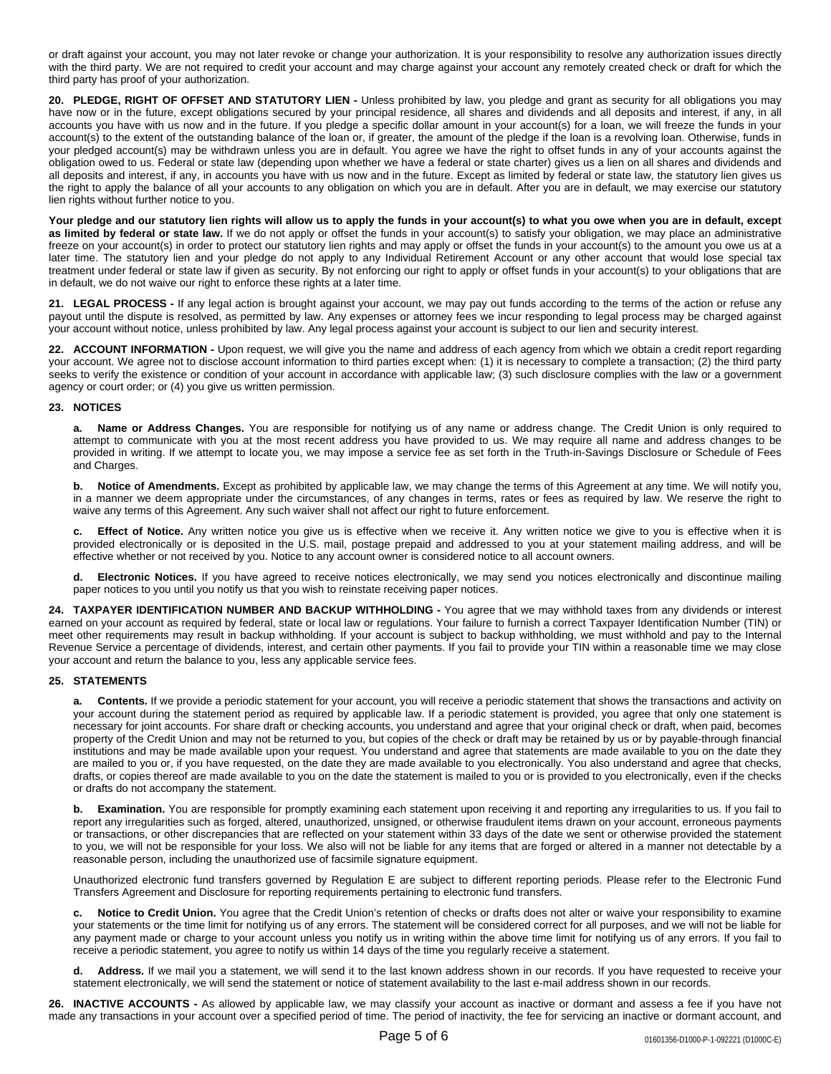or draft against your account, you may not later revoke or change your authorization. It is your responsibility to resolve any authorization issues directly with the third party. We are not required to credit your account and may charge against your account any remotely created check or draft for which the third party has proof of your authorization.

**20. PLEDGE, RIGHT OF OFFSET AND STATUTORY LIEN -** Unless prohibited by law, you pledge and grant as security for all obligations you may have now or in the future, except obligations secured by your principal residence, all shares and dividends and all deposits and interest, if any, in all accounts you have with us now and in the future. If you pledge a specific dollar amount in your account(s) for a loan, we will freeze the funds in your account(s) to the extent of the outstanding balance of the loan or, if greater, the amount of the pledge if the loan is a revolving loan. Otherwise, funds in your pledged account(s) may be withdrawn unless you are in default. You agree we have the right to offset funds in any of your accounts against the obligation owed to us. Federal or state law (depending upon whether we have a federal or state charter) gives us a lien on all shares and dividends and all deposits and interest, if any, in accounts you have with us now and in the future. Except as limited by federal or state law, the statutory lien gives us the right to apply the balance of all your accounts to any obligation on which you are in default. After you are in default, we may exercise our statutory lien rights without further notice to you.

Your pledge and our statutory lien rights will allow us to apply the funds in your account(s) to what you owe when you are in default, except **as limited by federal or state law.** If we do not apply or offset the funds in your account(s) to satisfy your obligation, we may place an administrative freeze on your account(s) in order to protect our statutory lien rights and may apply or offset the funds in your account(s) to the amount you owe us at a later time. The statutory lien and your pledge do not apply to any Individual Retirement Account or any other account that would lose special tax treatment under federal or state law if given as security. By not enforcing our right to apply or offset funds in your account(s) to your obligations that are in default, we do not waive our right to enforce these rights at a later time.

**21. LEGAL PROCESS -** If any legal action is brought against your account, we may pay out funds according to the terms of the action or refuse any payout until the dispute is resolved, as permitted by law. Any expenses or attorney fees we incur responding to legal process may be charged against your account without notice, unless prohibited by law. Any legal process against your account is subject to our lien and security interest.

**22. ACCOUNT INFORMATION -** Upon request, we will give you the name and address of each agency from which we obtain a credit report regarding your account. We agree not to disclose account information to third parties except when: (1) it is necessary to complete a transaction; (2) the third party seeks to verify the existence or condition of your account in accordance with applicable law; (3) such disclosure complies with the law or a government agency or court order; or (4) you give us written permission.

#### **23. NOTICES**

**Name or Address Changes.** You are responsible for notifying us of any name or address change. The Credit Union is only required to attempt to communicate with you at the most recent address you have provided to us. We may require all name and address changes to be provided in writing. If we attempt to locate you, we may impose a service fee as set forth in the Truth-in-Savings Disclosure or Schedule of Fees and Charges.

**b. Notice of Amendments.** Except as prohibited by applicable law, we may change the terms of this Agreement at any time. We will notify you, in a manner we deem appropriate under the circumstances, of any changes in terms, rates or fees as required by law. We reserve the right to waive any terms of this Agreement. Any such waiver shall not affect our right to future enforcement.

**c. Effect of Notice.** Any written notice you give us is effective when we receive it. Any written notice we give to you is effective when it is provided electronically or is deposited in the U.S. mail, postage prepaid and addressed to you at your statement mailing address, and will be effective whether or not received by you. Notice to any account owner is considered notice to all account owners.

**d. Electronic Notices.** If you have agreed to receive notices electronically, we may send you notices electronically and discontinue mailing paper notices to you until you notify us that you wish to reinstate receiving paper notices.

**24. TAXPAYER IDENTIFICATION NUMBER AND BACKUP WITHHOLDING -** You agree that we may withhold taxes from any dividends or interest earned on your account as required by federal, state or local law or regulations. Your failure to furnish a correct Taxpayer Identification Number (TIN) or meet other requirements may result in backup withholding. If your account is subject to backup withholding, we must withhold and pay to the Internal Revenue Service a percentage of dividends, interest, and certain other payments. If you fail to provide your TIN within a reasonable time we may close your account and return the balance to you, less any applicable service fees.

# **25. STATEMENTS**

**a. Contents.** If we provide a periodic statement for your account, you will receive a periodic statement that shows the transactions and activity on your account during the statement period as required by applicable law. If a periodic statement is provided, you agree that only one statement is necessary for joint accounts. For share draft or checking accounts, you understand and agree that your original check or draft, when paid, becomes property of the Credit Union and may not be returned to you, but copies of the check or draft may be retained by us or by payable-through financial institutions and may be made available upon your request. You understand and agree that statements are made available to you on the date they are mailed to you or, if you have requested, on the date they are made available to you electronically. You also understand and agree that checks, drafts, or copies thereof are made available to you on the date the statement is mailed to you or is provided to you electronically, even if the checks or drafts do not accompany the statement.

**b. Examination.** You are responsible for promptly examining each statement upon receiving it and reporting any irregularities to us. If you fail to report any irregularities such as forged, altered, unauthorized, unsigned, or otherwise fraudulent items drawn on your account, erroneous payments or transactions, or other discrepancies that are reflected on your statement within 33 days of the date we sent or otherwise provided the statement to you, we will not be responsible for your loss. We also will not be liable for any items that are forged or altered in a manner not detectable by a reasonable person, including the unauthorized use of facsimile signature equipment.

Unauthorized electronic fund transfers governed by Regulation E are subject to different reporting periods. Please refer to the Electronic Fund Transfers Agreement and Disclosure for reporting requirements pertaining to electronic fund transfers.

**c. Notice to Credit Union.** You agree that the Credit Union's retention of checks or drafts does not alter or waive your responsibility to examine your statements or the time limit for notifying us of any errors. The statement will be considered correct for all purposes, and we will not be liable for any payment made or charge to your account unless you notify us in writing within the above time limit for notifying us of any errors. If you fail to receive a periodic statement, you agree to notify us within 14 days of the time you regularly receive a statement.

**d. Address.** If we mail you a statement, we will send it to the last known address shown in our records. If you have requested to receive your statement electronically, we will send the statement or notice of statement availability to the last e-mail address shown in our records.

**26. INACTIVE ACCOUNTS -** As allowed by applicable law, we may classify your account as inactive or dormant and assess a fee if you have not made any transactions in your account over a specified period of time. The period of inactivity, the fee for servicing an inactive or dormant account, and